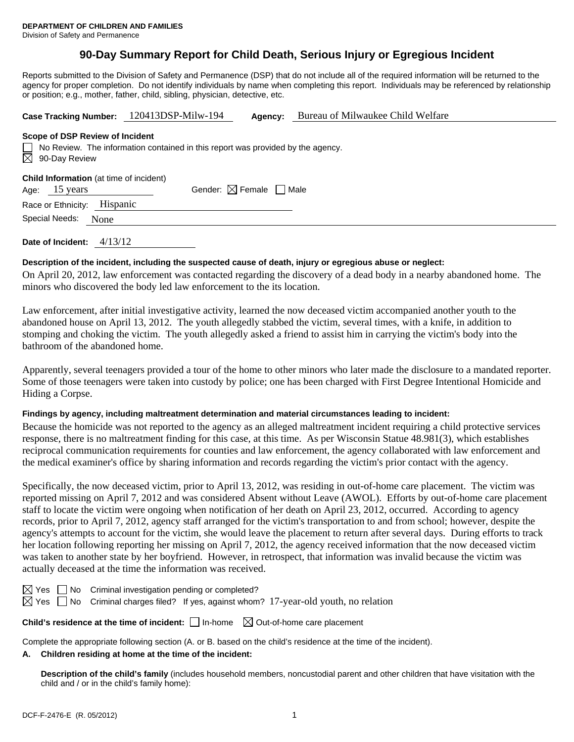# **90-Day Summary Report for Child Death, Serious Injury or Egregious Incident**

Reports submitted to the Division of Safety and Permanence (DSP) that do not include all of the required information will be returned to the agency for proper completion. Do not identify individuals by name when completing this report. Individuals may be referenced by relationship or position; e.g., mother, father, child, sibling, physician, detective, etc.

| Case Tracking Number: 120413DSP-Milw-194                                                                            |                                        | Agency: | Bureau of Milwaukee Child Welfare |  |  |  |  |  |
|---------------------------------------------------------------------------------------------------------------------|----------------------------------------|---------|-----------------------------------|--|--|--|--|--|
| Scope of DSP Review of Incident                                                                                     |                                        |         |                                   |  |  |  |  |  |
| $\Box$ No Review. The information contained in this report was provided by the agency.<br>$\boxtimes$ 90-Day Review |                                        |         |                                   |  |  |  |  |  |
| <b>Child Information</b> (at time of incident)<br>Age: 15 years                                                     | Gender: $\boxtimes$ Female $\Box$ Male |         |                                   |  |  |  |  |  |
| Race or Ethnicity: Hispanic                                                                                         |                                        |         |                                   |  |  |  |  |  |
| Special Needs:<br>None                                                                                              |                                        |         |                                   |  |  |  |  |  |
| 4/13/12<br>Date of Incident:                                                                                        |                                        |         |                                   |  |  |  |  |  |

## **Description of the incident, including the suspected cause of death, injury or egregious abuse or neglect:**

On April 20, 2012, law enforcement was contacted regarding the discovery of a dead body in a nearby abandoned home. The minors who discovered the body led law enforcement to the its location.

Law enforcement, after initial investigative activity, learned the now deceased victim accompanied another youth to the abandoned house on April 13, 2012. The youth allegedly stabbed the victim, several times, with a knife, in addition to stomping and choking the victim. The youth allegedly asked a friend to assist him in carrying the victim's body into the bathroom of the abandoned home.

Apparently, several teenagers provided a tour of the home to other minors who later made the disclosure to a mandated reporter. Some of those teenagers were taken into custody by police; one has been charged with First Degree Intentional Homicide and Hiding a Corpse.

### **Findings by agency, including maltreatment determination and material circumstances leading to incident:**

Because the homicide was not reported to the agency as an alleged maltreatment incident requiring a child protective services response, there is no maltreatment finding for this case, at this time. As per Wisconsin Statue 48.981(3), which establishes reciprocal communication requirements for counties and law enforcement, the agency collaborated with law enforcement and the medical examiner's office by sharing information and records regarding the victim's prior contact with the agency.

Specifically, the now deceased victim, prior to April 13, 2012, was residing in out-of-home care placement. The victim was reported missing on April 7, 2012 and was considered Absent without Leave (AWOL). Efforts by out-of-home care placement staff to locate the victim were ongoing when notification of her death on April 23, 2012, occurred. According to agency records, prior to April 7, 2012, agency staff arranged for the victim's transportation to and from school; however, despite the agency's attempts to account for the victim, she would leave the placement to return after several days. During efforts to track her location following reporting her missing on April 7, 2012, the agency received information that the now deceased victim was taken to another state by her boyfriend. However, in retrospect, that information was invalid because the victim was actually deceased at the time the information was received.

No Criminal investigation pending or completed?

Yes  $\Box$  No Criminal charges filed? If yes, against whom? 17-year-old youth, no relation

**Child's residence at the time of incident:**  $\Box$  In-home  $\Box$  Out-of-home care placement

Complete the appropriate following section (A. or B. based on the child's residence at the time of the incident).

## **A. Children residing at home at the time of the incident:**

**Description of the child's family** (includes household members, noncustodial parent and other children that have visitation with the child and / or in the child's family home):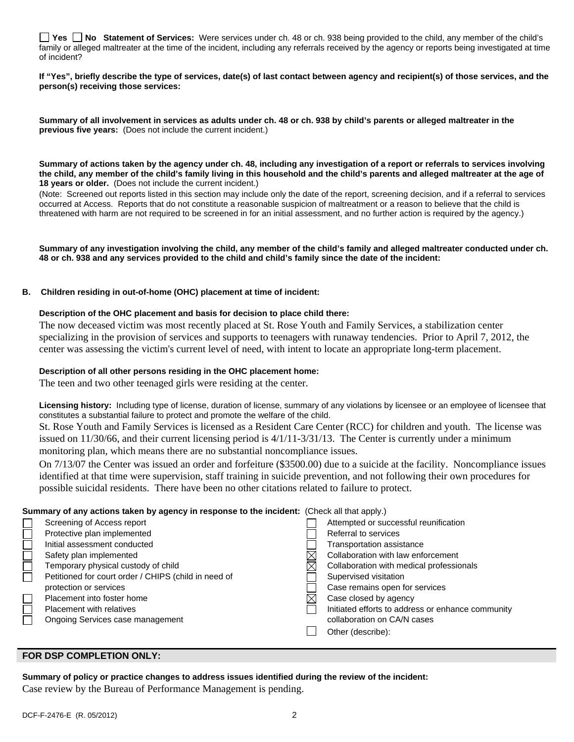|              |  |  |  |  |  | □ Yes □ No Statement of Services: Were services under ch. 48 or ch. 938 being provided to the child, any member of the child's                 |
|--------------|--|--|--|--|--|------------------------------------------------------------------------------------------------------------------------------------------------|
|              |  |  |  |  |  | family or alleged maltreater at the time of the incident, including any referrals received by the agency or reports being investigated at time |
| of incident? |  |  |  |  |  |                                                                                                                                                |

**If "Yes", briefly describe the type of services, date(s) of last contact between agency and recipient(s) of those services, and the person(s) receiving those services:** 

**Summary of all involvement in services as adults under ch. 48 or ch. 938 by child's parents or alleged maltreater in the previous five years:** (Does not include the current incident.)

**Summary of actions taken by the agency under ch. 48, including any investigation of a report or referrals to services involving the child, any member of the child's family living in this household and the child's parents and alleged maltreater at the age of 18 years or older.** (Does not include the current incident.)

(Note: Screened out reports listed in this section may include only the date of the report, screening decision, and if a referral to services occurred at Access. Reports that do not constitute a reasonable suspicion of maltreatment or a reason to believe that the child is threatened with harm are not required to be screened in for an initial assessment, and no further action is required by the agency.)

**Summary of any investigation involving the child, any member of the child's family and alleged maltreater conducted under ch. 48 or ch. 938 and any services provided to the child and child's family since the date of the incident:** 

### **B. Children residing in out-of-home (OHC) placement at time of incident:**

#### **Description of the OHC placement and basis for decision to place child there:**

The now deceased victim was most recently placed at St. Rose Youth and Family Services, a stabilization center specializing in the provision of services and supports to teenagers with runaway tendencies. Prior to April 7, 2012, the center was assessing the victim's current level of need, with intent to locate an appropriate long-term placement.

### **Description of all other persons residing in the OHC placement home:**

The teen and two other teenaged girls were residing at the center.

**Licensing history:** Including type of license, duration of license, summary of any violations by licensee or an employee of licensee that constitutes a substantial failure to protect and promote the welfare of the child.

St. Rose Youth and Family Services is licensed as a Resident Care Center (RCC) for children and youth. The license was issued on 11/30/66, and their current licensing period is 4/1/11-3/31/13. The Center is currently under a minimum monitoring plan, which means there are no substantial noncompliance issues.

On 7/13/07 the Center was issued an order and forfeiture (\$3500.00) due to a suicide at the facility. Noncompliance issues identified at that time were supervision, staff training in suicide prevention, and not following their own procedures for possible suicidal residents. There have been no other citations related to failure to protect.

### **Summary of any actions taken by agency in response to the incident:** (Check all that apply.)

| $\alpha$ . The model is a consequence of the second consequence of the motivative (of the model opply) |                                                      |  |                                                   |  |  |
|--------------------------------------------------------------------------------------------------------|------------------------------------------------------|--|---------------------------------------------------|--|--|
|                                                                                                        | Screening of Access report                           |  | Attempted or successful reunification             |  |  |
|                                                                                                        | Protective plan implemented                          |  | Referral to services                              |  |  |
|                                                                                                        | Initial assessment conducted                         |  | Transportation assistance                         |  |  |
|                                                                                                        | Safety plan implemented                              |  | Collaboration with law enforcement                |  |  |
|                                                                                                        | Temporary physical custody of child                  |  | Collaboration with medical professionals          |  |  |
|                                                                                                        | Petitioned for court order / CHIPS (child in need of |  | Supervised visitation                             |  |  |
|                                                                                                        | protection or services                               |  | Case remains open for services                    |  |  |
|                                                                                                        | Placement into foster home                           |  | Case closed by agency                             |  |  |
|                                                                                                        | <b>Placement with relatives</b>                      |  | Initiated efforts to address or enhance community |  |  |
|                                                                                                        | Ongoing Services case management                     |  | collaboration on CA/N cases                       |  |  |
|                                                                                                        |                                                      |  | Other (describe):                                 |  |  |
|                                                                                                        |                                                      |  |                                                   |  |  |

## **FOR DSP COMPLETION ONLY:**

**Summary of policy or practice changes to address issues identified during the review of the incident:**  Case review by the Bureau of Performance Management is pending.